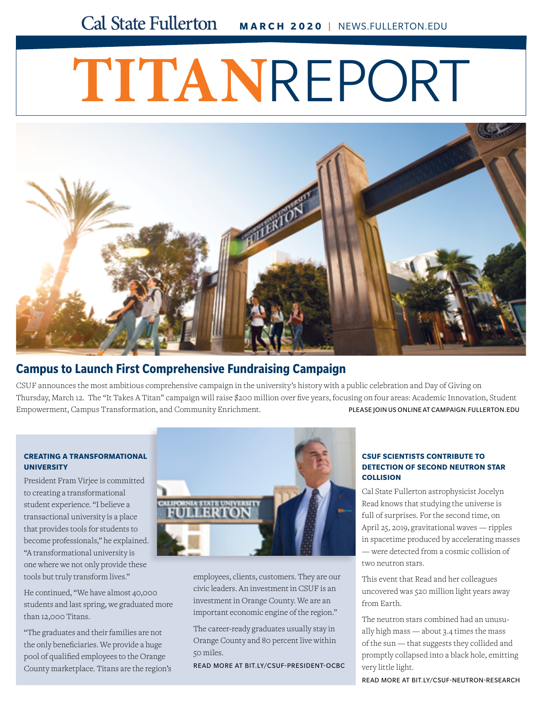#### **Cal State Fullerton MARCH 2020 |** NEWS.FULLERTON.EDU

# **TITAN**REPORT



### **[Campus to Launch First Comprehensive Fundraising Campaign](http://news.fullerton.edu/2019fa/Minority-Graduate-Ranking-Diverse.aspx)**

CSUF announces the most ambitious comprehensive campaign in the university's history with a public celebration and Day of Giving on Thursday, March 12. The "It Takes A Titan" campaign will raise \$200 million over five years, focusing on four areas: Academic Innovation, Student Empowerment, Campus Transformation, and Community Enrichment. PLEASE JOIN US ONLINE AT [CAMPAIGN.FULLERTON.EDU](http://campaign.fullerton.edu)

#### **CREATING A TRANSFORMATIONAL UNIVERSITY**

President Fram Virjee is committed to creating a transformational student experience. "I believe a transactional university is a place that provides tools for students to become professionals," he explained. "A transformational university is one where we not only provide these tools but truly transform lives."

He continued, "We have almost 40,000 [students and last spring, we graduated more](http://news.fullerton.edu/2020wi/Virjee-OCBC-Breakfast.aspx)  than 12,000 Titans.

"The graduates and their families are not the only beneficiaries. We provide a huge pool of qualified employees to the Orange County marketplace. Titans are the region's



employees, clients, customers. They are our civic leaders. An investment in CSUF is an investment in Orange County. We are an important economic engine of the region."

The career-ready graduates usually stay in Orange County and 80 percent live within 50 miles.

READ MORE AT [BIT.LY/CSUF-PRESIDENT-OCBC](http://news.fullerton.edu/2020wi/Virjee-OCBC-Breakfast.aspx)

#### **CSUF SCIENTISTS CONTRIBUTE TO DETECTION OF SECOND NEUTRON STAR COLLISION**

Cal State Fullerton astrophysicist Jocelyn Read knows that studying the universe is full of surprises. For the second time, on April 25, 2019, gravitational waves — ripples [in spacetime produced by accelerating masses](http://news.fullerton.edu/2020wi/neutron-star-collision-jocelyn-read.aspx)  — were detected from a cosmic collision of two neutron stars.

This event that Read and her colleagues uncovered was 520 million light years away from Earth.

The neutron stars combined had an unusually high mass — about 3.4 times the mass of the sun — that suggests they collided and promptly collapsed into a black hole, emitting very little light.

READ MORE AT [BIT.LY/CSUF-NEUTRON-RESEARCH](http://news.fullerton.edu/2020wi/neutron-star-collision-jocelyn-read.aspx)